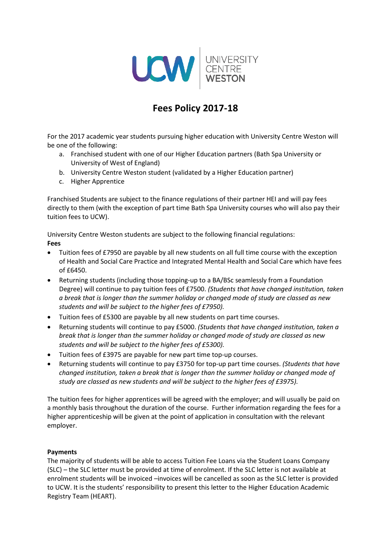

## **Fees Policy 2017-18**

For the 2017 academic year students pursuing higher education with University Centre Weston will be one of the following:

- a. Franchised student with one of our Higher Education partners (Bath Spa University or University of West of England)
- b. University Centre Weston student (validated by a Higher Education partner)
- c. Higher Apprentice

Franchised Students are subject to the finance regulations of their partner HEI and will pay fees directly to them (with the exception of part time Bath Spa University courses who will also pay their tuition fees to UCW).

University Centre Weston students are subject to the following financial regulations: **Fees** 

- Tuition fees of £7950 are payable by all new students on all full time course with the exception of Health and Social Care Practice and Integrated Mental Health and Social Care which have fees of £6450.
- Returning students (including those topping-up to a BA/BSc seamlessly from a Foundation Degree) will continue to pay tuition fees of £7500. *(Students that have changed institution, taken a break that is longer than the summer holiday or changed mode of study are classed as new students and will be subject to the higher fees of £7950).*
- Tuition fees of £5300 are payable by all new students on part time courses.
- Returning students will continue to pay £5000. *(Students that have changed institution, taken a break that is longer than the summer holiday or changed mode of study are classed as new students and will be subject to the higher fees of £5300).*
- Tuition fees of £3975 are payable for new part time top-up courses.
- Returning students will continue to pay £3750 for top-up part time courses. *(Students that have changed institution, taken a break that is longer than the summer holiday or changed mode of study are classed as new students and will be subject to the higher fees of £3975).*

The tuition fees for higher apprentices will be agreed with the employer; and will usually be paid on a monthly basis throughout the duration of the course. Further information regarding the fees for a higher apprenticeship will be given at the point of application in consultation with the relevant employer.

## **Payments**

The majority of students will be able to access Tuition Fee Loans via the Student Loans Company (SLC) – the SLC letter must be provided at time of enrolment. If the SLC letter is not available at enrolment students will be invoiced –invoices will be cancelled as soon as the SLC letter is provided to UCW. It is the students' responsibility to present this letter to the Higher Education Academic Registry Team (HEART).